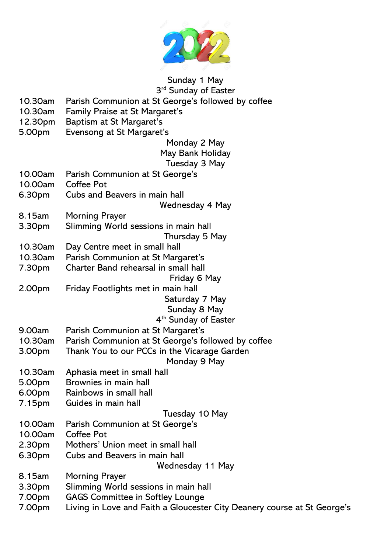

Sunday 1 May 3<sup>rd</sup> Sunday of Easter

- 10.30am Parish Communion at St George's followed by coffee
- 10.30am Family Praise at St Margaret's
- 12.30pm Baptism at St Margaret's
- 5.00pm Evensong at St Margaret's

Monday 2 May

## May Bank Holiday

Tuesday 3 May

- 10.00am Parish Communion at St George's
- 10.00am Coffee Pot
- 6.30pm Cubs and Beavers in main hall
- Wednesday 4 May
- 8.15am Morning Prayer
- 3.30pm Slimming World sessions in main hall Thursday 5 May
- 10.30am Day Centre meet in small hall
- 10.30am Parish Communion at St Margaret's
- 7.30pm Charter Band rehearsal in small hall
	- Friday 6 May
- 2.00pm Friday Footlights met in main hall Saturday 7 May

# Sunday 8 May

## 4 th Sunday of Easter

- 9.00am Parish Communion at St Margaret's
- 10.30am Parish Communion at St George's followed by coffee
- 3.00pm Thank You to our PCCs in the Vicarage Garden Monday 9 May
- 10.30am Aphasia meet in small hall
- 5.00pm Brownies in main hall
- 6.00pm Rainbows in small hall
- 7.15pm Guides in main hall

### Tuesday 10 May

- 10.00am Parish Communion at St George's
- 10.00am Coffee Pot
- 2.30pm Mothers' Union meet in small hall
- 6.30pm Cubs and Beavers in main hall

Wednesday 11 May

- 8.15am Morning Prayer
- 3.30pm Slimming World sessions in main hall
- 7.00pm GAGS Committee in Softley Lounge
- 7.00pm Living in Love and Faith a Gloucester City Deanery course at St George's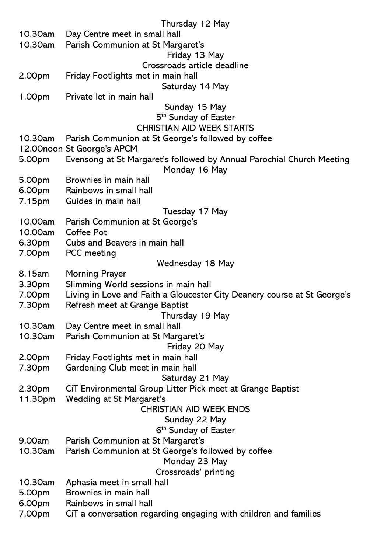|                  | Thursday 12 May                                                          |
|------------------|--------------------------------------------------------------------------|
| 10.30am          | Day Centre meet in small hall                                            |
| 10.30am          | Parish Communion at St Margaret's                                        |
|                  | Friday 13 May                                                            |
|                  | Crossroads article deadline                                              |
| 2.00pm           | Friday Footlights met in main hall                                       |
|                  | Saturday 14 May                                                          |
| 1.00pm           | Private let in main hall                                                 |
|                  | Sunday 15 May                                                            |
|                  | 5 <sup>th</sup> Sunday of Easter                                         |
|                  | <b>CHRISTIAN AID WEEK STARTS</b>                                         |
| 10.30am          | Parish Communion at St George's followed by coffee                       |
|                  | 12.00noon St George's APCM                                               |
| 5.00pm           | Evensong at St Margaret's followed by Annual Parochial Church Meeting    |
|                  | Monday 16 May                                                            |
| 5.00pm           | Brownies in main hall                                                    |
| 6.00pm           | Rainbows in small hall                                                   |
| 7.15pm           | Guides in main hall                                                      |
|                  | Tuesday 17 May                                                           |
| 10.00am          | Parish Communion at St George's                                          |
| 10.00am          | <b>Coffee Pot</b>                                                        |
| 6.30pm           | Cubs and Beavers in main hall                                            |
| 7.00pm           | <b>PCC</b> meeting                                                       |
|                  | Wednesday 18 May                                                         |
| 8.15am           | <b>Morning Prayer</b>                                                    |
| 3.30pm           | Slimming World sessions in main hall                                     |
| 7.00pm           | Living in Love and Faith a Gloucester City Deanery course at St George's |
| 7.30pm           | Refresh meet at Grange Baptist                                           |
|                  | Thursday 19 May                                                          |
| 10.30am          | Day Centre meet in small hall                                            |
| 10.30am          | Parish Communion at St Margaret's                                        |
|                  |                                                                          |
|                  | Friday 20 May                                                            |
| 2.00pm<br>7.30pm | Friday Footlights met in main hall<br>Gardening Club meet in main hall   |
|                  |                                                                          |
|                  | Saturday 21 May                                                          |
| 2.30pm           | CIT Environmental Group Litter Pick meet at Grange Baptist               |
| 11.30pm          | <b>Wedding at St Margaret's</b><br><b>CHRISTIAN AID WEEK ENDS</b>        |
|                  |                                                                          |
|                  | Sunday 22 May                                                            |
|                  | 6 <sup>th</sup> Sunday of Easter                                         |
| 9.00am           | Parish Communion at St Margaret's                                        |
| 10.30am          | Parish Communion at St George's followed by coffee                       |
|                  | Monday 23 May                                                            |
|                  | Crossroads' printing                                                     |
| 10.30am          | Aphasia meet in small hall                                               |
| 5.00pm           | Brownies in main hall                                                    |
| 6.00pm           | Rainbows in small hall                                                   |
| 7.00pm           | CIT a conversation regarding engaging with children and families         |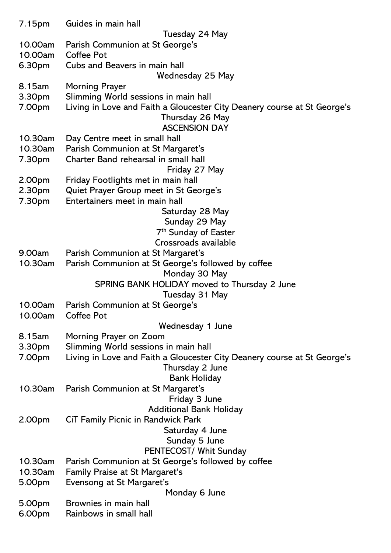| 7.15pm             | Guides in main hall                                                      |
|--------------------|--------------------------------------------------------------------------|
|                    | Tuesday 24 May                                                           |
| 10.00am            | Parish Communion at St George's                                          |
| 10.00am            | <b>Coffee Pot</b>                                                        |
| 6.30pm             | Cubs and Beavers in main hall                                            |
|                    | Wednesday 25 May                                                         |
| 8.15am             | <b>Morning Prayer</b>                                                    |
| 3.30pm             | Slimming World sessions in main hall                                     |
| 7.00pm             | Living in Love and Faith a Gloucester City Deanery course at St George's |
|                    | Thursday 26 May                                                          |
|                    | <b>ASCENSION DAY</b>                                                     |
| 10.30am            | Day Centre meet in small hall                                            |
| 10.30am            | Parish Communion at St Margaret's                                        |
| 7.30pm             | Charter Band rehearsal in small hall                                     |
|                    | Friday 27 May                                                            |
| 2.00pm             | Friday Footlights met in main hall                                       |
| 2.30pm             | Quiet Prayer Group meet in St George's                                   |
| 7.30pm             | Entertainers meet in main hall                                           |
|                    | Saturday 28 May                                                          |
|                    | Sunday 29 May                                                            |
|                    | 7 <sup>th</sup> Sunday of Easter                                         |
|                    | Crossroads available                                                     |
| 9.00am             | Parish Communion at St Margaret's                                        |
| 10.30am            | Parish Communion at St George's followed by coffee                       |
|                    | Monday 30 May                                                            |
|                    | SPRING BANK HOLIDAY moved to Thursday 2 June                             |
|                    | Tuesday 31 May                                                           |
| 10.00am<br>10.00am | Parish Communion at St George's<br><b>Coffee Pot</b>                     |
|                    | Wednesday 1 June                                                         |
| 8.15am             |                                                                          |
| 3.30pm             | Morning Prayer on Zoom<br>Slimming World sessions in main hall           |
| 7.00pm             | Living in Love and Faith a Gloucester City Deanery course at St George's |
|                    | Thursday 2 June                                                          |
|                    | <b>Bank Holiday</b>                                                      |
| 10.30am            | Parish Communion at St Margaret's                                        |
|                    | Friday 3 June                                                            |
|                    | <b>Additional Bank Holiday</b>                                           |
| 2.00pm             | <b>CIT Family Picnic in Randwick Park</b>                                |
|                    | Saturday 4 June                                                          |
|                    | Sunday 5 June                                                            |
|                    | PENTECOST/ Whit Sunday                                                   |
| 10.30am            | Parish Communion at St George's followed by coffee                       |
| 10.30am            | Family Praise at St Margaret's                                           |
| 5.00pm             | Evensong at St Margaret's                                                |
|                    | Monday 6 June                                                            |
| 5.00pm             | Brownies in main hall                                                    |
| 6.00pm             | Rainbows in small hall                                                   |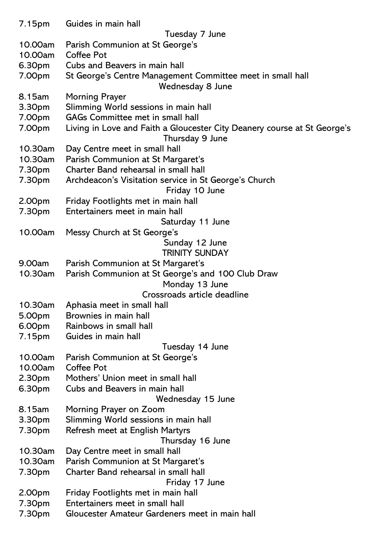| 7.15pm           | Guides in main hall                                                      |
|------------------|--------------------------------------------------------------------------|
|                  | Tuesday 7 June                                                           |
| 10.00am          | Parish Communion at St George's                                          |
| 10.00am          | <b>Coffee Pot</b>                                                        |
| 6.30pm           | Cubs and Beavers in main hall                                            |
| 7.00pm           | St George's Centre Management Committee meet in small hall               |
|                  | Wednesday 8 June                                                         |
| 8.15am           | <b>Morning Prayer</b>                                                    |
| 3.30pm           | Slimming World sessions in main hall                                     |
| 7.00pm           | <b>GAGs Committee met in small hall</b>                                  |
| 7.00pm           | Living in Love and Faith a Gloucester City Deanery course at St George's |
|                  | Thursday 9 June                                                          |
| 10.30am          | Day Centre meet in small hall                                            |
| 10.30am          | Parish Communion at St Margaret's                                        |
| 7.30pm           | Charter Band rehearsal in small hall                                     |
| 7.30pm           | Archdeacon's Visitation service in St George's Church                    |
|                  | Friday 10 June                                                           |
| 2.00pm           | Friday Footlights met in main hall                                       |
| 7.30pm           | Entertainers meet in main hall                                           |
|                  | Saturday 11 June                                                         |
| 10.00am          | Messy Church at St George's                                              |
|                  | Sunday 12 June                                                           |
|                  | <b>TRINITY SUNDAY</b>                                                    |
| 9.00am           | Parish Communion at St Margaret's                                        |
| 10.30am          | Parish Communion at St George's and 100 Club Draw                        |
|                  | Monday 13 June                                                           |
|                  | Crossroads article deadline                                              |
| 10.30am          | Aphasia meet in small hall                                               |
| 5.00pm           | Brownies in main hall                                                    |
| 6.00pm           | Rainbows in small hall                                                   |
| 7.15pm           | Guides in main hall                                                      |
|                  | Tuesday 14 June                                                          |
| 10.00am          | Parish Communion at St George's                                          |
| 10.00am          | Coffee Pot                                                               |
| 2.30pm           | Mothers' Union meet in small hall                                        |
| 6.30pm           | Cubs and Beavers in main hall                                            |
|                  | Wednesday 15 June                                                        |
| 8.15am           | Morning Prayer on Zoom                                                   |
| 3.30pm           | Slimming World sessions in main hall                                     |
| 7.30pm           | Refresh meet at English Martyrs                                          |
|                  | Thursday 16 June                                                         |
| 10.30am          | Day Centre meet in small hall                                            |
| 10.30am          | Parish Communion at St Margaret's                                        |
|                  | Charter Band rehearsal in small hall                                     |
| 7.30pm           |                                                                          |
|                  | Friday 17 June                                                           |
| 2.00pm<br>7.30pm | Friday Footlights met in main hall<br>Entertainers meet in small hall    |
|                  | Gloucester Amateur Gardeners meet in main hall                           |
| 7.30pm           |                                                                          |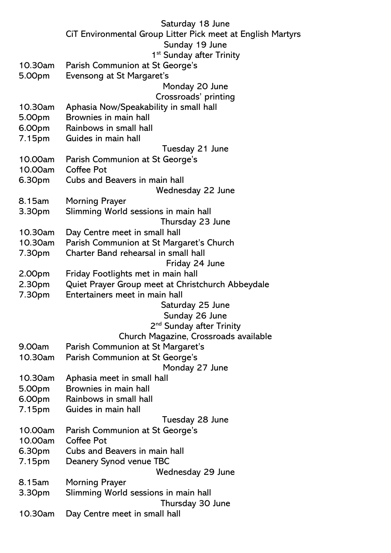| Saturday 18 June                                                                        |
|-----------------------------------------------------------------------------------------|
| CiT Environmental Group Litter Pick meet at English Martyrs                             |
| Sunday 19 June                                                                          |
| 1 <sup>st</sup> Sunday after Trinity                                                    |
| Parish Communion at St George's                                                         |
| Evensong at St Margaret's                                                               |
| Monday 20 June                                                                          |
| Crossroads' printing                                                                    |
| Aphasia Now/Speakability in small hall<br>Brownies in main hall                         |
| Rainbows in small hall                                                                  |
| Guides in main hall                                                                     |
| Tuesday 21 June                                                                         |
| Parish Communion at St George's                                                         |
| <b>Coffee Pot</b>                                                                       |
| Cubs and Beavers in main hall                                                           |
| Wednesday 22 June                                                                       |
| <b>Morning Prayer</b>                                                                   |
| Slimming World sessions in main hall                                                    |
| Thursday 23 June                                                                        |
| Day Centre meet in small hall                                                           |
| Parish Communion at St Margaret's Church                                                |
| Charter Band rehearsal in small hall                                                    |
| Friday 24 June                                                                          |
| Friday Footlights met in main hall<br>Quiet Prayer Group meet at Christchurch Abbeydale |
| Entertainers meet in main hall                                                          |
| Saturday 25 June                                                                        |
| Sunday 26 June                                                                          |
| 2 <sup>nd</sup> Sunday after Trinity                                                    |
| Church Magazine, Crossroads available                                                   |
| Parish Communion at St Margaret's                                                       |
| Parish Communion at St George's                                                         |
| Monday 27 June                                                                          |
| Aphasia meet in small hall                                                              |
| Brownies in main hall                                                                   |
| Rainbows in small hall                                                                  |
| Guides in main hall                                                                     |
| Tuesday 28 June                                                                         |
| Parish Communion at St George's<br><b>Coffee Pot</b>                                    |
| Cubs and Beavers in main hall                                                           |
| Deanery Synod venue TBC                                                                 |
| Wednesday 29 June                                                                       |
| <b>Morning Prayer</b>                                                                   |
| Slimming World sessions in main hall                                                    |
| Thursday 30 June                                                                        |
| Day Centre meet in small hall                                                           |
|                                                                                         |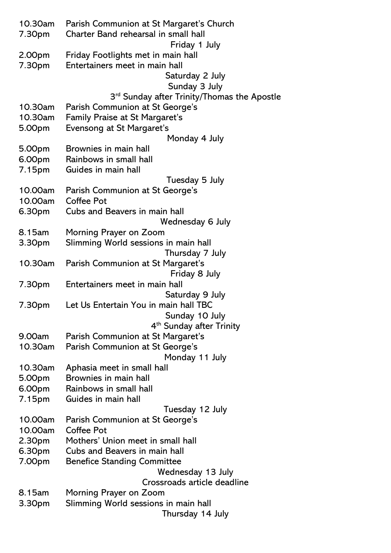| 10.30am | Parish Communion at St Margaret's Church                |
|---------|---------------------------------------------------------|
| 7.30pm  | Charter Band rehearsal in small hall                    |
|         | Friday 1 July                                           |
| 2.00pm  | Friday Footlights met in main hall                      |
| 7.30pm  | Entertainers meet in main hall                          |
|         | Saturday 2 July                                         |
|         | Sunday 3 July                                           |
|         | 3 <sup>rd</sup> Sunday after Trinity/Thomas the Apostle |
| 10.30am | Parish Communion at St George's                         |
| 10.30am | <b>Family Praise at St Margaret's</b>                   |
| 5.00pm  | Evensong at St Margaret's                               |
|         | Monday 4 July                                           |
| 5.00pm  | Brownies in main hall                                   |
| 6.00pm  | Rainbows in small hall                                  |
| 7.15pm  | Guides in main hall                                     |
|         | Tuesday 5 July                                          |
| 10.00am | Parish Communion at St George's                         |
| 10.00am | <b>Coffee Pot</b>                                       |
| 6.30pm  | Cubs and Beavers in main hall                           |
|         | Wednesday 6 July                                        |
| 8.15am  | Morning Prayer on Zoom                                  |
| 3.30pm  | Slimming World sessions in main hall                    |
|         | Thursday 7 July                                         |
| 10.30am | Parish Communion at St Margaret's                       |
|         | Friday 8 July                                           |
| 7.30pm  | Entertainers meet in main hall                          |
|         | Saturday 9 July                                         |
| 7.30pm  | Let Us Entertain You in main hall TBC                   |
|         | Sunday 10 July                                          |
|         | 4 <sup>th</sup> Sunday after Trinity                    |
| 9.00am  | Parish Communion at St Margaret's                       |
| 10.30am | Parish Communion at St George's                         |
|         | Monday 11 July                                          |
| 10.30am | Aphasia meet in small hall                              |
| 5.00pm  | Brownies in main hall                                   |
| 6.00pm  | Rainbows in small hall                                  |
| 7.15pm  | Guides in main hall                                     |
|         | Tuesday 12 July                                         |
| 10.00am | Parish Communion at St George's                         |
| 10.00am | <b>Coffee Pot</b>                                       |
| 2.30pm  | Mothers' Union meet in small hall                       |
| 6.30pm  | Cubs and Beavers in main hall                           |
| 7.00pm  | <b>Benefice Standing Committee</b>                      |
|         | Wednesday 13 July                                       |
|         | Crossroads article deadline                             |
| 8.15am  | Morning Prayer on Zoom                                  |
| 3.30pm  | Slimming World sessions in main hall                    |
|         | Thursday 14 July                                        |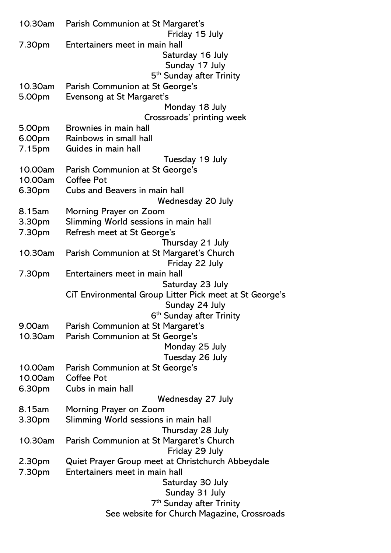|         | 10.30am Parish Communion at St Margaret's<br>Friday 15 July |
|---------|-------------------------------------------------------------|
|         | Entertainers meet in main hall                              |
| 7.30pm  | Saturday 16 July                                            |
|         | Sunday 17 July                                              |
|         |                                                             |
|         | 5 <sup>th</sup> Sunday after Trinity                        |
| 10.30am | Parish Communion at St George's                             |
| 5.00pm  | Evensong at St Margaret's                                   |
|         | Monday 18 July                                              |
|         | Crossroads' printing week                                   |
| 5.00pm  | Brownies in main hall                                       |
| 6.00pm  | Rainbows in small hall                                      |
| 7.15pm  | Guides in main hall                                         |
|         | Tuesday 19 July                                             |
| 10.00am | Parish Communion at St George's                             |
| 10.00am | <b>Coffee Pot</b>                                           |
| 6.30pm  | Cubs and Beavers in main hall                               |
|         | Wednesday 20 July                                           |
| 8.15am  | Morning Prayer on Zoom                                      |
| 3.30pm  | Slimming World sessions in main hall                        |
| 7.30pm  | Refresh meet at St George's                                 |
|         | Thursday 21 July                                            |
| 10.30am | Parish Communion at St Margaret's Church                    |
|         | Friday 22 July                                              |
| 7.30pm  | Entertainers meet in main hall                              |
|         | Saturday 23 July                                            |
|         | CiT Environmental Group Litter Pick meet at St George's     |
|         | Sunday 24 July                                              |
|         | 6 <sup>th</sup> Sunday after Trinity                        |
| 9.00am  | Parish Communion at St Margaret's                           |
| 10.30am | Parish Communion at St George's                             |
|         | Monday 25 July                                              |
|         | Tuesday 26 July                                             |
| 10.00am | Parish Communion at St George's                             |
| 10.00am | Coffee Pot                                                  |
| 6.30pm  | Cubs in main hall                                           |
|         |                                                             |
|         | Wednesday 27 July                                           |
| 8.15am  | Morning Prayer on Zoom                                      |
| 3.30pm  | Slimming World sessions in main hall                        |
|         | Thursday 28 July                                            |
| 10.30am | Parish Communion at St Margaret's Church                    |
|         | Friday 29 July                                              |
| 2.30pm  | Quiet Prayer Group meet at Christchurch Abbeydale           |
| 7.30pm  | Entertainers meet in main hall                              |
|         | Saturday 30 July                                            |
|         | Sunday 31 July                                              |
|         | 7 <sup>th</sup> Sunday after Trinity                        |
|         | See website for Church Magazine, Crossroads                 |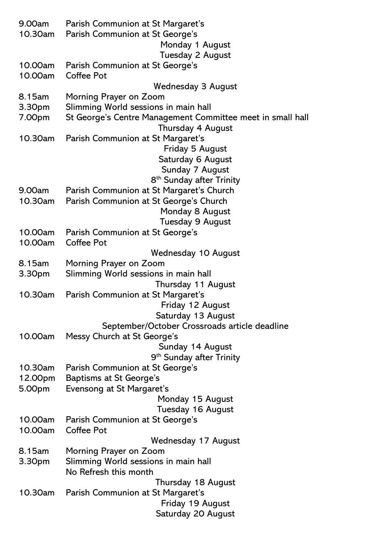| 9.00am<br>10.30am | Parish Communion at St Margaret's<br>Parish Communion at St George's         |
|-------------------|------------------------------------------------------------------------------|
|                   | Monday 1 August                                                              |
|                   | <b>Tuesday 2 August</b>                                                      |
| 10.00am           | Parish Communion at St George's                                              |
| 10.00am           | <b>Coffee Pot</b>                                                            |
| 8.15am            | <b>Wednesday 3 August</b><br>Morning Prayer on Zoom                          |
| 3.30pm            | Slimming World sessions in main hall                                         |
| 7.00pm            | St George's Centre Management Committee meet in small hall                   |
|                   | Thursday 4 August                                                            |
| 10.30am           | Parish Communion at St Margaret's                                            |
|                   | Friday 5 August                                                              |
|                   | Saturday 6 August                                                            |
|                   | Sunday 7 August                                                              |
|                   | 8 <sup>th</sup> Sunday after Trinity                                         |
| 9.00am            | Parish Communion at St Margaret's Church                                     |
| 10.30am           | Parish Communion at St George's Church                                       |
|                   | Monday 8 August                                                              |
|                   | Tuesday 9 August                                                             |
| 10.00am           | Parish Communion at St George's                                              |
| 10.00am           | <b>Coffee Pot</b>                                                            |
|                   | <b>Wednesday 10 August</b>                                                   |
| 8.15am            | Morning Prayer on Zoom                                                       |
| 3.30pm            | Slimming World sessions in main hall                                         |
|                   | Thursday 11 August                                                           |
| 10.30am           | Parish Communion at St Margaret's                                            |
|                   | Friday 12 August                                                             |
|                   | Saturday 13 August                                                           |
| 10.00am           | September/October Crossroads article deadline<br>Messy Church at St George's |
|                   | Sunday 14 August                                                             |
|                   | 9 <sup>th</sup> Sunday after Trinity                                         |
| 10.30am           | Parish Communion at St George's                                              |
| 12.00pm           | <b>Baptisms at St George's</b>                                               |
| 5.00pm            | Evensong at St Margaret's                                                    |
|                   | Monday 15 August                                                             |
|                   | Tuesday 16 August                                                            |
| 10.00am           | Parish Communion at St George's                                              |
| 10.00am           | <b>Coffee Pot</b>                                                            |
|                   | Wednesday 17 August                                                          |
| 8.15am            | Morning Prayer on Zoom                                                       |
| 3.30pm            | Slimming World sessions in main hall                                         |
|                   | No Refresh this month                                                        |
|                   | Thursday 18 August                                                           |
| 10.30am           | Parish Communion at St Margaret's                                            |
|                   | Friday 19 August                                                             |
|                   | Saturday 20 August                                                           |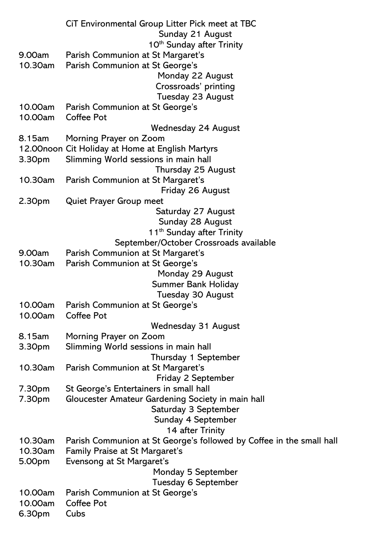|         | CiT Environmental Group Litter Pick meet at TBC                      |
|---------|----------------------------------------------------------------------|
|         | Sunday 21 August                                                     |
|         | 10 <sup>th</sup> Sunday after Trinity                                |
| 9.00am  | Parish Communion at St Margaret's                                    |
| 10.30am | Parish Communion at St George's                                      |
|         | Monday 22 August                                                     |
|         | Crossroads' printing                                                 |
|         | Tuesday 23 August                                                    |
| 10.00am | Parish Communion at St George's                                      |
| 10.00am | <b>Coffee Pot</b>                                                    |
|         | Wednesday 24 August                                                  |
| 8.15am  | Morning Prayer on Zoom                                               |
|         | 12.00noon Cit Holiday at Home at English Martyrs                     |
| 3.30pm  | Slimming World sessions in main hall                                 |
|         | Thursday 25 August                                                   |
| 10.30am | Parish Communion at St Margaret's                                    |
|         | Friday 26 August                                                     |
| 2.30pm  | <b>Quiet Prayer Group meet</b>                                       |
|         | Saturday 27 August                                                   |
|         | Sunday 28 August                                                     |
|         | 11 <sup>th</sup> Sunday after Trinity                                |
|         | September/October Crossroads available                               |
| 9.00am  | Parish Communion at St Margaret's                                    |
| 10.30am | Parish Communion at St George's                                      |
|         | Monday 29 August                                                     |
|         | <b>Summer Bank Holiday</b>                                           |
|         | <b>Tuesday 30 August</b>                                             |
| 10.00am | Parish Communion at St George's                                      |
| 10.00am | <b>Coffee Pot</b>                                                    |
|         | <b>Wednesday 31 August</b>                                           |
| 8.15am  | Morning Prayer on Zoom                                               |
| 3.30pm  | Slimming World sessions in main hall                                 |
|         | Thursday 1 September                                                 |
| 10.30am | Parish Communion at St Margaret's                                    |
|         | Friday 2 September                                                   |
| 7.30pm  | St George's Entertainers in small hall                               |
| 7.30pm  | Gloucester Amateur Gardening Society in main hall                    |
|         | Saturday 3 September                                                 |
|         | Sunday 4 September                                                   |
|         | 14 after Trinity                                                     |
| 10.30am | Parish Communion at St George's followed by Coffee in the small hall |
| 10.30am | <b>Family Praise at St Margaret's</b>                                |
| 5.00pm  | Evensong at St Margaret's                                            |
|         | Monday 5 September                                                   |
|         | <b>Tuesday 6 September</b>                                           |
| 10.00am | Parish Communion at St George's                                      |
| 10.00am | <b>Coffee Pot</b>                                                    |
| 6.30pm  | Cubs                                                                 |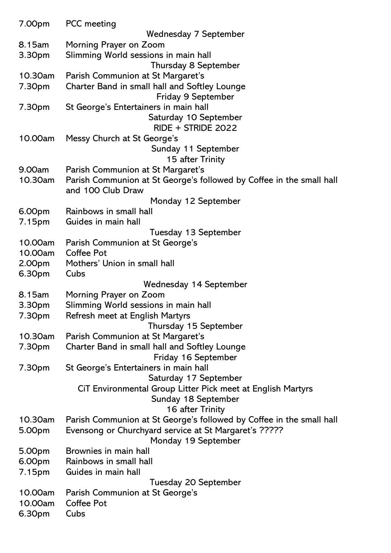| 7.00pm  | <b>PCC</b> meeting                                                                       |
|---------|------------------------------------------------------------------------------------------|
|         | Wednesday 7 September                                                                    |
| 8.15am  | Morning Prayer on Zoom                                                                   |
| 3.30pm  | Slimming World sessions in main hall                                                     |
|         | <b>Thursday 8 September</b>                                                              |
| 10.30am | Parish Communion at St Margaret's                                                        |
| 7.30pm  | Charter Band in small hall and Softley Lounge                                            |
|         | Friday 9 September                                                                       |
| 7.30pm  | St George's Entertainers in main hall                                                    |
|         | Saturday 10 September<br>$RIDE + STRIDE 2022$                                            |
| 10.00am | Messy Church at St George's                                                              |
|         | Sunday 11 September                                                                      |
|         | 15 after Trinity                                                                         |
| 9.00am  | Parish Communion at St Margaret's                                                        |
| 10.30am | Parish Communion at St George's followed by Coffee in the small hall                     |
|         | and 100 Club Draw                                                                        |
|         | Monday 12 September                                                                      |
| 6.00pm  | Rainbows in small hall                                                                   |
| 7.15pm  | Guides in main hall                                                                      |
|         | Tuesday 13 September                                                                     |
| 10.00am | Parish Communion at St George's                                                          |
| 10.00am | <b>Coffee Pot</b>                                                                        |
| 2.00pm  | Mothers' Union in small hall<br>Cubs                                                     |
| 6.30pm  | Wednesday 14 September                                                                   |
| 8.15am  | Morning Prayer on Zoom                                                                   |
| 3.30pm  | Slimming World sessions in main hall                                                     |
| 7.30pm  | Refresh meet at English Martyrs                                                          |
|         | Thursday 15 September                                                                    |
| 10.30am | Parish Communion at St Margaret's                                                        |
| 7.30pm  | Charter Band in small hall and Softley Lounge                                            |
|         | Friday 16 September                                                                      |
| 7.30pm  | St George's Entertainers in main hall                                                    |
|         | Saturday 17 September                                                                    |
|         | CiT Environmental Group Litter Pick meet at English Martyrs                              |
|         | Sunday 18 September                                                                      |
| 10.30am | 16 after Trinity<br>Parish Communion at St George's followed by Coffee in the small hall |
| 5.00pm  | Evensong or Churchyard service at St Margaret's ?????                                    |
|         | Monday 19 September                                                                      |
| 5.00pm  | Brownies in main hall                                                                    |
| 6.00pm  | Rainbows in small hall                                                                   |
| 7.15pm  | Guides in main hall                                                                      |
|         | Tuesday 20 September                                                                     |
| 10.00am | Parish Communion at St George's                                                          |
| 10.00am | <b>Coffee Pot</b>                                                                        |
| 6.30pm  | Cubs                                                                                     |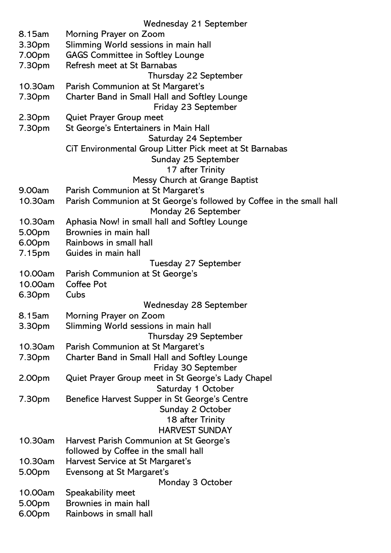|         | <b>Wednesday 21 September</b>                                        |
|---------|----------------------------------------------------------------------|
| 8.15am  | Morning Prayer on Zoom                                               |
| 3.30pm  | Slimming World sessions in main hall                                 |
| 7.00pm  | <b>GAGS Committee in Softley Lounge</b>                              |
| 7.30pm  | Refresh meet at St Barnabas                                          |
|         | Thursday 22 September                                                |
| 10.30am | Parish Communion at St Margaret's                                    |
| 7.30pm  | Charter Band in Small Hall and Softley Lounge                        |
|         | Friday 23 September                                                  |
| 2.30pm  | <b>Quiet Prayer Group meet</b>                                       |
| 7.30pm  | St George's Entertainers in Main Hall                                |
|         | Saturday 24 September                                                |
|         | CIT Environmental Group Litter Pick meet at St Barnabas              |
|         | Sunday 25 September                                                  |
|         |                                                                      |
|         | 17 after Trinity                                                     |
|         | Messy Church at Grange Baptist                                       |
| 9.00am  | Parish Communion at St Margaret's                                    |
| 10.30am | Parish Communion at St George's followed by Coffee in the small hall |
|         | Monday 26 September                                                  |
| 10.30am | Aphasia Now! in small hall and Softley Lounge                        |
| 5.00pm  | Brownies in main hall                                                |
| 6.00pm  | Rainbows in small hall                                               |
| 7.15pm  | Guides in main hall                                                  |
|         | Tuesday 27 September                                                 |
| 10.00am | Parish Communion at St George's                                      |
| 10.00am | <b>Coffee Pot</b>                                                    |
| 6.30pm  | Cubs                                                                 |
|         | <b>Wednesday 28 September</b>                                        |
| 8.15am  | Morning Prayer on Zoom                                               |
| 3.30pm  | Slimming World sessions in main hall                                 |
|         | Thursday 29 September                                                |
| 10.30am | Parish Communion at St Margaret's                                    |
| 7.30pm  | Charter Band in Small Hall and Softley Lounge                        |
|         | Friday 30 September                                                  |
| 2.00pm  | Quiet Prayer Group meet in St George's Lady Chapel                   |
|         | Saturday 1 October                                                   |
| 7.30pm  | Benefice Harvest Supper in St George's Centre                        |
|         | Sunday 2 October                                                     |
|         | 18 after Trinity                                                     |
|         | <b>HARVEST SUNDAY</b>                                                |
| 10.30am | Harvest Parish Communion at St George's                              |
|         | followed by Coffee in the small hall                                 |
| 10.30am | Harvest Service at St Margaret's                                     |
| 5.00pm  | Evensong at St Margaret's                                            |
|         | Monday 3 October                                                     |
| 10.00am | Speakability meet                                                    |
| 5.00pm  | Brownies in main hall                                                |
| 6.00pm  | Rainbows in small hall                                               |
|         |                                                                      |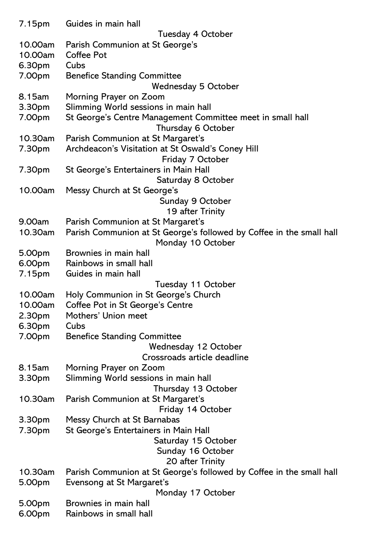| 7.15pm             | Guides in main hall                                                                                       |
|--------------------|-----------------------------------------------------------------------------------------------------------|
|                    | Tuesday 4 October                                                                                         |
| 10.00am<br>10.00am | Parish Communion at St George's<br><b>Coffee Pot</b>                                                      |
| 6.30pm             | Cubs                                                                                                      |
| 7.00pm             | <b>Benefice Standing Committee</b>                                                                        |
|                    | <b>Wednesday 5 October</b>                                                                                |
| 8.15am             | Morning Prayer on Zoom                                                                                    |
| 3.30pm             | Slimming World sessions in main hall                                                                      |
| 7.00pm             | St George's Centre Management Committee meet in small hall                                                |
| 10.30am            | Thursday 6 October<br>Parish Communion at St Margaret's                                                   |
| 7.30pm             | Archdeacon's Visitation at St Oswald's Coney Hill                                                         |
|                    | Friday 7 October                                                                                          |
| 7.30pm             | St George's Entertainers in Main Hall                                                                     |
|                    | Saturday 8 October                                                                                        |
| 10.00am            | Messy Church at St George's                                                                               |
|                    | Sunday 9 October                                                                                          |
|                    | 19 after Trinity                                                                                          |
| 9.00am<br>10.30am  | Parish Communion at St Margaret's<br>Parish Communion at St George's followed by Coffee in the small hall |
|                    | Monday 10 October                                                                                         |
| 5.00pm             | Brownies in main hall                                                                                     |
| 6.00pm             | Rainbows in small hall                                                                                    |
| 7.15pm             | Guides in main hall                                                                                       |
|                    | Tuesday 11 October                                                                                        |
| 10.00am            | Holy Communion in St George's Church                                                                      |
| 10.00am            | Coffee Pot in St George's Centre<br>Mothers' Union meet                                                   |
| 2.30pm<br>6.30pm   | Cubs                                                                                                      |
| 7.00pm             | <b>Benefice Standing Committee</b>                                                                        |
|                    | Wednesday 12 October                                                                                      |
|                    | Crossroads article deadline                                                                               |
| 8.15am             | Morning Prayer on Zoom                                                                                    |
| 3.30pm             | Slimming World sessions in main hall                                                                      |
| 10.30am            | Thursday 13 October                                                                                       |
|                    | Parish Communion at St Margaret's<br>Friday 14 October                                                    |
| 3.30pm             | Messy Church at St Barnabas                                                                               |
| 7.30pm             | St George's Entertainers in Main Hall                                                                     |
|                    | Saturday 15 October                                                                                       |
|                    | Sunday 16 October                                                                                         |
|                    | 20 after Trinity                                                                                          |
| 10.30am            | Parish Communion at St George's followed by Coffee in the small hall                                      |
| 5.00pm             | Evensong at St Margaret's<br>Monday 17 October                                                            |
| 5.00pm             | Brownies in main hall                                                                                     |
| 6.00pm             | Rainbows in small hall                                                                                    |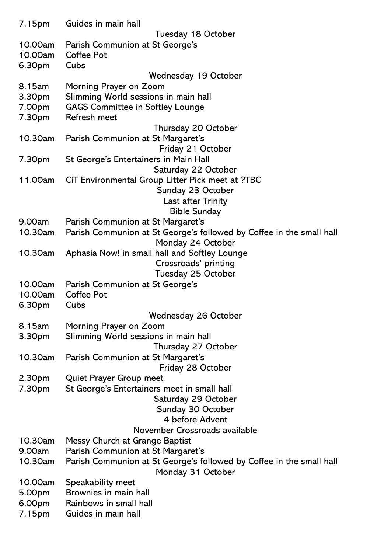| 7.15pm  | Guides in main hall                                                  |
|---------|----------------------------------------------------------------------|
|         | Tuesday 18 October                                                   |
| 10.00am | Parish Communion at St George's                                      |
| 10.00am | <b>Coffee Pot</b>                                                    |
| 6.30pm  | Cubs                                                                 |
|         | Wednesday 19 October                                                 |
| 8.15am  | Morning Prayer on Zoom                                               |
| 3.30pm  | Slimming World sessions in main hall                                 |
| 7.00pm  | <b>GAGS Committee in Softley Lounge</b>                              |
| 7.30pm  | Refresh meet                                                         |
|         | Thursday 20 October                                                  |
| 10.30am | Parish Communion at St Margaret's                                    |
|         | Friday 21 October                                                    |
| 7.30pm  | St George's Entertainers in Main Hall                                |
|         | Saturday 22 October                                                  |
| 11.00am | CiT Environmental Group Litter Pick meet at ?TBC                     |
|         | Sunday 23 October                                                    |
|         | Last after Trinity                                                   |
|         | <b>Bible Sunday</b>                                                  |
| 9.00am  | Parish Communion at St Margaret's                                    |
| 10.30am | Parish Communion at St George's followed by Coffee in the small hall |
|         | Monday 24 October                                                    |
| 10.30am | Aphasia Now! in small hall and Softley Lounge                        |
|         | Crossroads' printing                                                 |
|         | Tuesday 25 October                                                   |
| 10.00am | Parish Communion at St George's                                      |
| 10.00am | <b>Coffee Pot</b>                                                    |
| 6.30pm  | Cubs                                                                 |
|         | Wednesday 26 October                                                 |
| 8.15am  | Morning Prayer on Zoom                                               |
| 3.30pm  | Slimming World sessions in main hall                                 |
|         | Thursday 27 October                                                  |
| 10.30am | Parish Communion at St Margaret's                                    |
|         | Friday 28 October                                                    |
| 2.30pm  | <b>Quiet Prayer Group meet</b>                                       |
| 7.30pm  | St George's Entertainers meet in small hall                          |
|         | Saturday 29 October                                                  |
|         | Sunday 30 October                                                    |
|         | 4 before Advent                                                      |
|         | November Crossroads available                                        |
| 10.30am | Messy Church at Grange Baptist                                       |
| 9.00am  | Parish Communion at St Margaret's                                    |
| 10.30am | Parish Communion at St George's followed by Coffee in the small hall |
|         | Monday 31 October                                                    |
| 10.00am | Speakability meet<br>Brownies in main hall                           |
| 5.00pm  |                                                                      |
| 6.00pm  | Rainbows in small hall                                               |
| 7.15pm  | Guides in main hall                                                  |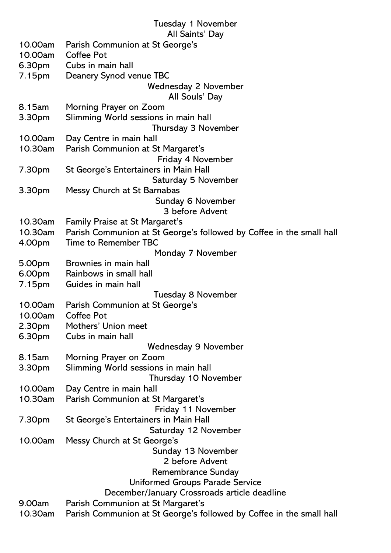#### Tuesday 1 November

#### All Saints' Day

| 10.00am | Parish Communion at St George's                                      |
|---------|----------------------------------------------------------------------|
| 10.00am | <b>Coffee Pot</b>                                                    |
| 6.30pm  | Cubs in main hall                                                    |
| 7.15pm  | Deanery Synod venue TBC                                              |
|         | <b>Wednesday 2 November</b>                                          |
|         | All Souls' Day                                                       |
| 8.15am  | Morning Prayer on Zoom                                               |
| 3.30pm  | Slimming World sessions in main hall                                 |
|         | Thursday 3 November                                                  |
| 10.00am | Day Centre in main hall                                              |
| 10.30am | Parish Communion at St Margaret's                                    |
|         | Friday 4 November                                                    |
| 7.30pm  | St George's Entertainers in Main Hall                                |
|         | Saturday 5 November                                                  |
| 3.30pm  | Messy Church at St Barnabas                                          |
|         | Sunday 6 November                                                    |
|         | 3 before Advent                                                      |
| 10.30am | <b>Family Praise at St Margaret's</b>                                |
| 10.30am | Parish Communion at St George's followed by Coffee in the small hall |
| 4.00pm  | Time to Remember TBC                                                 |
|         | Monday 7 November                                                    |
| 5.00pm  | Brownies in main hall                                                |
| 6.00pm  | Rainbows in small hall                                               |
| 7.15pm  | Guides in main hall                                                  |
|         | Tuesday 8 November                                                   |
| 10.00am | Parish Communion at St George's                                      |
| 10.00am | Coffee Pot                                                           |
| 2.30pm  | Mothers' Union meet                                                  |
| 6.30pm  | Cubs in main hall                                                    |
|         | <b>Wednesday 9 November</b>                                          |
| 8.15am  | Morning Prayer on Zoom<br>Slimming World sessions in main hall       |
| 3.30pm  | Thursday 10 November                                                 |
| 10.00am | Day Centre in main hall                                              |
| 10.30am | Parish Communion at St Margaret's                                    |
|         | Friday 11 November                                                   |
| 7.30pm  | St George's Entertainers in Main Hall                                |
|         | Saturday 12 November                                                 |
| 10.00am | Messy Church at St George's                                          |
|         | Sunday 13 November                                                   |
|         | 2 before Advent                                                      |
|         | <b>Remembrance Sunday</b>                                            |
|         | Uniformed Groups Parade Service                                      |
|         | December/January Crossroads article deadline                         |
| 9.00am  | Parish Communion at St Margaret's                                    |
| 10.30am | Parish Communion at St George's followed by Coffee in the small hall |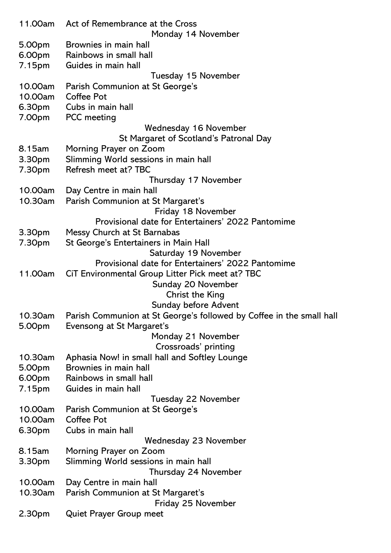| 11.00am | Act of Remembrance at the Cross                                      |
|---------|----------------------------------------------------------------------|
| 5.00pm  | Monday 14 November<br>Brownies in main hall                          |
| 6.00pm  | Rainbows in small hall                                               |
| 7.15pm  | Guides in main hall                                                  |
|         | Tuesday 15 November                                                  |
| 10.00am | Parish Communion at St George's                                      |
| 10.00am | Coffee Pot                                                           |
| 6.30pm  | Cubs in main hall                                                    |
| 7.00pm  | <b>PCC</b> meeting                                                   |
|         | Wednesday 16 November                                                |
|         | St Margaret of Scotland's Patronal Day                               |
| 8.15am  | Morning Prayer on Zoom                                               |
| 3.30pm  | Slimming World sessions in main hall                                 |
| 7.30pm  | Refresh meet at? TBC                                                 |
|         | Thursday 17 November                                                 |
| 10.00am | Day Centre in main hall                                              |
| 10.30am | Parish Communion at St Margaret's                                    |
|         | Friday 18 November                                                   |
|         | Provisional date for Entertainers' 2022 Pantomime                    |
| 3.30pm  | Messy Church at St Barnabas                                          |
| 7.30pm  | St George's Entertainers in Main Hall                                |
|         | Saturday 19 November                                                 |
|         | Provisional date for Entertainers' 2022 Pantomime                    |
| 11.00am | CiT Environmental Group Litter Pick meet at? TBC                     |
|         | Sunday 20 November                                                   |
|         | <b>Christ the King</b>                                               |
|         | Sunday before Advent                                                 |
| 10.30am | Parish Communion at St George's followed by Coffee in the small hall |
| 5.00pm  | Evensong at St Margaret's                                            |
|         | Monday 21 November                                                   |
|         | Crossroads' printing                                                 |
| 10.30am | Aphasia Now! in small hall and Softley Lounge                        |
| 5.00pm  | Brownies in main hall                                                |
| 6.00pm  | Rainbows in small hall                                               |
| 7.15pm  | Guides in main hall                                                  |
|         | Tuesday 22 November                                                  |
| 10.00am | Parish Communion at St George's                                      |
| 10.00am | <b>Coffee Pot</b>                                                    |
| 6.30pm  | Cubs in main hall                                                    |
|         | <b>Wednesday 23 November</b>                                         |
| 8.15am  | Morning Prayer on Zoom                                               |
| 3.30pm  | Slimming World sessions in main hall                                 |
|         | Thursday 24 November                                                 |
| 10.00am | Day Centre in main hall                                              |
| 10.30am | Parish Communion at St Margaret's                                    |
|         | Friday 25 November                                                   |
| 2.30pm  | <b>Quiet Prayer Group meet</b>                                       |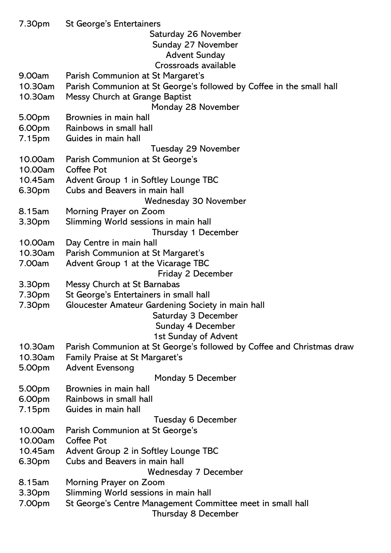| 7.30pm  | <b>St George's Entertainers</b>                                       |
|---------|-----------------------------------------------------------------------|
|         | Saturday 26 November                                                  |
|         | Sunday 27 November                                                    |
|         | <b>Advent Sunday</b>                                                  |
|         | Crossroads available                                                  |
| 9.00am  | Parish Communion at St Margaret's                                     |
| 10.30am | Parish Communion at St George's followed by Coffee in the small hall  |
| 10.30am | Messy Church at Grange Baptist                                        |
|         | Monday 28 November                                                    |
| 5.00pm  | Brownies in main hall                                                 |
| 6.00pm  | Rainbows in small hall                                                |
| 7.15pm  | Guides in main hall                                                   |
|         | Tuesday 29 November                                                   |
| 10.00am | Parish Communion at St George's                                       |
| 10.00am | <b>Coffee Pot</b>                                                     |
| 10.45am |                                                                       |
|         | Advent Group 1 in Softley Lounge TBC<br>Cubs and Beavers in main hall |
| 6.30pm  |                                                                       |
|         | Wednesday 30 November                                                 |
| 8.15am  | Morning Prayer on Zoom                                                |
| 3.30pm  | Slimming World sessions in main hall                                  |
|         | Thursday 1 December                                                   |
| 10.00am | Day Centre in main hall                                               |
| 10.30am | Parish Communion at St Margaret's                                     |
| 7.00am  | Advent Group 1 at the Vicarage TBC                                    |
|         | Friday 2 December                                                     |
| 3.30pm  | Messy Church at St Barnabas                                           |
| 7.30pm  | St George's Entertainers in small hall                                |
| 7.30pm  | Gloucester Amateur Gardening Society in main hall                     |
|         | Saturday 3 December                                                   |
|         | Sunday 4 December                                                     |
|         | 1st Sunday of Advent                                                  |
| 10.30am | Parish Communion at St George's followed by Coffee and Christmas draw |
| 10.30am | Family Praise at St Margaret's                                        |
| 5.00pm  | <b>Advent Evensong</b>                                                |
|         | Monday 5 December                                                     |
| 5.00pm  | Brownies in main hall                                                 |
| 6.00pm  | Rainbows in small hall                                                |
| 7.15pm  | Guides in main hall                                                   |
|         | <b>Tuesday 6 December</b>                                             |
| 10.00am | Parish Communion at St George's                                       |
| 10.00am | Coffee Pot                                                            |
| 10.45am | Advent Group 2 in Softley Lounge TBC                                  |
| 6.30pm  | Cubs and Beavers in main hall                                         |
|         | Wednesday 7 December                                                  |
| 8.15am  | Morning Prayer on Zoom                                                |
| 3.30pm  | Slimming World sessions in main hall                                  |
| 7.00pm  | St George's Centre Management Committee meet in small hall            |
|         | <b>Thursday 8 December</b>                                            |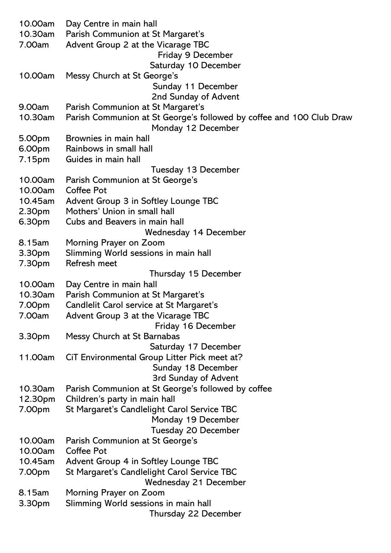| 10.00am            | Day Centre in main hall                                              |
|--------------------|----------------------------------------------------------------------|
| 10.30am            | Parish Communion at St Margaret's                                    |
| 7.00am             | Advent Group 2 at the Vicarage TBC                                   |
|                    | Friday 9 December                                                    |
|                    | Saturday 10 December                                                 |
| 10.00am            | Messy Church at St George's                                          |
|                    | Sunday 11 December                                                   |
|                    | 2nd Sunday of Advent                                                 |
| 9.00am             | Parish Communion at St Margaret's                                    |
| 10.30am            | Parish Communion at St George's followed by coffee and 100 Club Draw |
|                    | Monday 12 December                                                   |
| 5.00pm             | Brownies in main hall                                                |
| 6.00pm             | Rainbows in small hall                                               |
| 7.15pm             | Guides in main hall                                                  |
|                    | Tuesday 13 December                                                  |
| 10.00am            | Parish Communion at St George's                                      |
| 10.00am            | Coffee Pot                                                           |
| 10.45am            | Advent Group 3 in Softley Lounge TBC                                 |
| 2.30 <sub>pm</sub> | Mothers' Union in small hall                                         |
| 6.30pm             | Cubs and Beavers in main hall                                        |
|                    | Wednesday 14 December                                                |
| 8.15am             | Morning Prayer on Zoom                                               |
| 3.30pm             | Slimming World sessions in main hall                                 |
| 7.30pm             | Refresh meet                                                         |
|                    | Thursday 15 December                                                 |
| 10.00am            | Day Centre in main hall                                              |
| 10.30am            | Parish Communion at St Margaret's                                    |
| 7.00pm             | Candlelit Carol service at St Margaret's                             |
| 7.00am             |                                                                      |
|                    | Advent Group 3 at the Vicarage TBC<br>Friday 16 December             |
|                    |                                                                      |
| 3.30pm             | Messy Church at St Barnabas                                          |
| 11.00am            | Saturday 17 December                                                 |
|                    | CiT Environmental Group Litter Pick meet at?                         |
|                    | Sunday 18 December<br><b>3rd Sunday of Advent</b>                    |
|                    |                                                                      |
| 10.30am            | Parish Communion at St George's followed by coffee                   |
| 12.30pm            | Children's party in main hall                                        |
| 7.00pm             | St Margaret's Candlelight Carol Service TBC                          |
|                    | Monday 19 December                                                   |
|                    | <b>Tuesday 20 December</b>                                           |
| 10.00am            | Parish Communion at St George's                                      |
| 10.00am            | <b>Coffee Pot</b>                                                    |
| 10.45am            | Advent Group 4 in Softley Lounge TBC                                 |
| 7.00pm             | St Margaret's Candlelight Carol Service TBC                          |
|                    | <b>Wednesday 21 December</b>                                         |
| 8.15am             | Morning Prayer on Zoom                                               |
| 3.30pm             | Slimming World sessions in main hall                                 |
|                    | Thursday 22 December                                                 |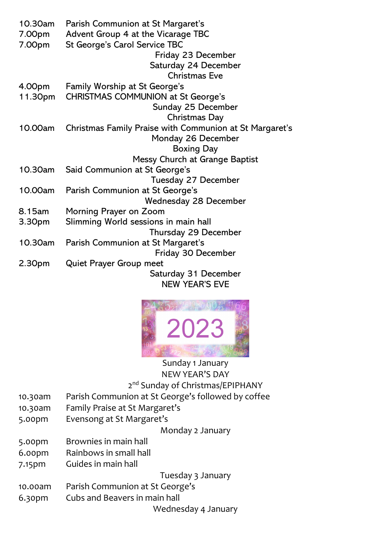| 10.30am | Parish Communion at St Margaret's                       |
|---------|---------------------------------------------------------|
| 7.00pm  | Advent Group 4 at the Vicarage TBC                      |
| 7.00pm  | St George's Carol Service TBC                           |
|         | Friday 23 December                                      |
|         | Saturday 24 December                                    |
|         | <b>Christmas Eve</b>                                    |
| 4.00pm  | <b>Family Worship at St George's</b>                    |
| 11.30pm | <b>CHRISTMAS COMMUNION at St George's</b>               |
|         | Sunday 25 December                                      |
|         | <b>Christmas Day</b>                                    |
| 10.00am | Christmas Family Praise with Communion at St Margaret's |
|         | Monday 26 December                                      |
|         | <b>Boxing Day</b>                                       |
|         | Messy Church at Grange Baptist                          |
| 10.30am | Said Communion at St George's                           |
|         | <b>Tuesday 27 December</b>                              |
| 10.00am | Parish Communion at St George's                         |
|         | <b>Wednesday 28 December</b>                            |
| 8.15am  | Morning Prayer on Zoom                                  |
| 3.30pm  | Slimming World sessions in main hall                    |
|         | Thursday 29 December                                    |
| 10.30am | Parish Communion at St Margaret's                       |
|         | Friday 30 December                                      |
| 2.30pm  | <b>Quiet Prayer Group meet</b>                          |
|         | Saturday 31 December                                    |
|         | <b>NEW YEAR'S EVE</b>                                   |
|         |                                                         |



Sunday 1 January NEW YEAR'S DAY 2<sup>nd</sup> Sunday of Christmas/EPIPHANY

- 10.30am Parish Communion at St George's followed by coffee
- 10.30am Family Praise at St Margaret's
- 5.00pm Evensong at St Margaret's

Monday 2 January

- 5.00pm Brownies in main hall
- 6.00pm Rainbows in small hall
- 7.15pm Guides in main hall

Tuesday 3 January

- 10.00am Parish Communion at St George's
- 6.30pm Cubs and Beavers in main hall

Wednesday 4 January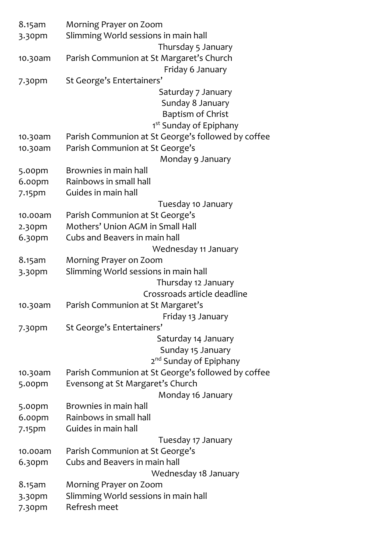| 8.15am    | Morning Prayer on Zoom                             |
|-----------|----------------------------------------------------|
| 3.30pm    | Slimming World sessions in main hall               |
|           | Thursday 5 January                                 |
| 10.30am   | Parish Communion at St Margaret's Church           |
|           | Friday 6 January                                   |
| 7.30pm    | St George's Entertainers'                          |
|           | Saturday 7 January                                 |
|           | Sunday 8 January                                   |
|           | <b>Baptism of Christ</b>                           |
|           | 1 <sup>st</sup> Sunday of Epiphany                 |
| 10.30am   | Parish Communion at St George's followed by coffee |
| 10.30am   | Parish Communion at St George's                    |
|           | Monday 9 January                                   |
| 5.00pm    | Brownies in main hall                              |
| 6.00pm    | Rainbows in small hall                             |
| 7.15pm    | Guides in main hall                                |
|           | Tuesday 10 January                                 |
| 10.00am   | Parish Communion at St George's                    |
| 2.30pm    | Mothers' Union AGM in Small Hall                   |
| 6.30pm    | Cubs and Beavers in main hall                      |
|           | Wednesday 11 January                               |
| 8.15am    | Morning Prayer on Zoom                             |
| 3.30pm    | Slimming World sessions in main hall               |
|           | Thursday 12 January                                |
|           | Crossroads article deadline                        |
| 10.30am   | Parish Communion at St Margaret's                  |
|           | Friday 13 January                                  |
| 7.30pm    | St George's Entertainers'                          |
|           | Saturday 14 January                                |
|           | Sunday 15 January                                  |
|           | 2 <sup>nd</sup> Sunday of Epiphany                 |
| 10.30am   | Parish Communion at St George's followed by coffee |
| 5.00pm    | Evensong at St Margaret's Church                   |
|           | Monday 16 January                                  |
| 5.00pm    | Brownies in main hall                              |
| 6.00pm    | Rainbows in small hall                             |
| 7.15pm    | Guides in main hall                                |
|           | Tuesday 17 January                                 |
| 10.00am   | Parish Communion at St George's                    |
| $6.3$ opm | Cubs and Beavers in main hall                      |
|           | Wednesday 18 January                               |
| 8.15am    | Morning Prayer on Zoom                             |
| 3.30pm    | Slimming World sessions in main hall               |
| 7.30pm    | Refresh meet                                       |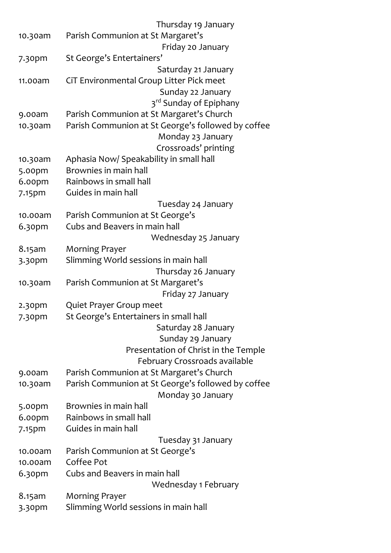|         | Thursday 19 January                                |
|---------|----------------------------------------------------|
| 10.30am | Parish Communion at St Margaret's                  |
|         | Friday 20 January                                  |
| 7.30pm  | St George's Entertainers'                          |
|         | Saturday 21 January                                |
| 11.00am | CiT Environmental Group Litter Pick meet           |
|         | Sunday 22 January                                  |
|         | 3 <sup>rd</sup> Sunday of Epiphany                 |
| 9.00am  | Parish Communion at St Margaret's Church           |
| 10.30am | Parish Communion at St George's followed by coffee |
|         | Monday 23 January                                  |
|         | Crossroads' printing                               |
| 10.30am | Aphasia Now/ Speakability in small hall            |
| 5.00pm  | Brownies in main hall                              |
| 6.00pm  | Rainbows in small hall                             |
| 7.15pm  | Guides in main hall                                |
|         | Tuesday 24 January                                 |
| 10.00am | Parish Communion at St George's                    |
| 6.30pm  | Cubs and Beavers in main hall                      |
|         | Wednesday 25 January                               |
| 8.15am  | <b>Morning Prayer</b>                              |
| 3.30pm  | Slimming World sessions in main hall               |
|         | Thursday 26 January                                |
| 10.30am | Parish Communion at St Margaret's                  |
|         | Friday 27 January                                  |
| 2.30pm  | Quiet Prayer Group meet                            |
| 7.30pm  | St George's Entertainers in small hall             |
|         | Saturday 28 January                                |
|         | Sunday 29 January                                  |
|         | Presentation of Christ in the Temple               |
|         | February Crossroads available                      |
| 9.00am  | Parish Communion at St Margaret's Church           |
| 10.30am | Parish Communion at St George's followed by coffee |
|         | Monday 30 January                                  |
| 5.00pm  | Brownies in main hall                              |
| 6.00pm  | Rainbows in small hall                             |
| 7.15pm  | Guides in main hall                                |
|         | Tuesday 31 January                                 |
| 10.00am | Parish Communion at St George's                    |
| 10.00am | Coffee Pot                                         |
| 6.30pm  | Cubs and Beavers in main hall                      |
|         | Wednesday 1 February                               |
| 8.15am  | <b>Morning Prayer</b>                              |
| 3.30pm  | Slimming World sessions in main hall               |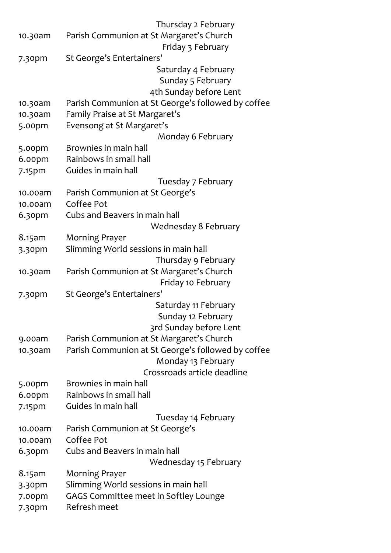|                    | Thursday 2 February                                |
|--------------------|----------------------------------------------------|
| 10.30am            | Parish Communion at St Margaret's Church           |
|                    | Friday 3 February                                  |
| 7.30pm             | St George's Entertainers'                          |
|                    | Saturday 4 February                                |
|                    | Sunday 5 February                                  |
|                    | 4th Sunday before Lent                             |
| 10.30am            | Parish Communion at St George's followed by coffee |
| 10.30am            | Family Praise at St Margaret's                     |
| 5.00pm             | Evensong at St Margaret's                          |
|                    | Monday 6 February                                  |
| 5.00pm             | Brownies in main hall                              |
| 6.00pm             | Rainbows in small hall                             |
| 7.15pm             | Guides in main hall                                |
|                    | Tuesday 7 February                                 |
| 10.00am            | Parish Communion at St George's                    |
| 10.00am            | Coffee Pot                                         |
| 6.30pm             | Cubs and Beavers in main hall                      |
|                    | <b>Wednesday 8 February</b>                        |
| 8.15am             | <b>Morning Prayer</b>                              |
| 3.30pm             | Slimming World sessions in main hall               |
|                    | Thursday 9 February                                |
| 10.30am            | Parish Communion at St Margaret's Church           |
|                    | Friday 10 February                                 |
| $7.3$ opm          | St George's Entertainers'                          |
|                    | Saturday 11 February                               |
|                    | Sunday 12 February                                 |
|                    | 3rd Sunday before Lent                             |
| 9.00am             | Parish Communion at St Margaret's Church           |
| 10.30am            | Parish Communion at St George's followed by coffee |
|                    | Monday 13 February                                 |
|                    | Crossroads article deadline                        |
| 5.00pm             | Brownies in main hall                              |
| 6.00pm             | Rainbows in small hall                             |
| 7.15pm             | Guides in main hall                                |
|                    | Tuesday 14 February                                |
| 10.00am            | Parish Communion at St George's                    |
| 10.00am            | Coffee Pot                                         |
| 6.30pm             | Cubs and Beavers in main hall                      |
|                    | Wednesday 15 February                              |
| 8.15am             | <b>Morning Prayer</b>                              |
| 3.30pm             | Slimming World sessions in main hall               |
| 7.00 <sub>pm</sub> | GAGS Committee meet in Softley Lounge              |
| 7.30pm             | Refresh meet                                       |
|                    |                                                    |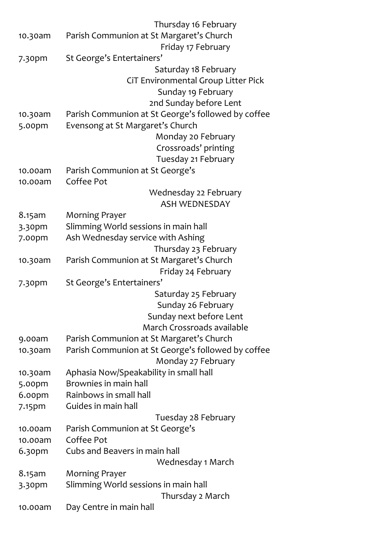|         | Thursday 16 February                               |
|---------|----------------------------------------------------|
| 10.30am | Parish Communion at St Margaret's Church           |
|         | Friday 17 February                                 |
| 7.30pm  | St George's Entertainers'                          |
|         | Saturday 18 February                               |
|         | CiT Environmental Group Litter Pick                |
|         | Sunday 19 February                                 |
|         | 2nd Sunday before Lent                             |
| 10.30am | Parish Communion at St George's followed by coffee |
| 5.00pm  | Evensong at St Margaret's Church                   |
|         | Monday 20 February                                 |
|         | Crossroads' printing                               |
|         | Tuesday 21 February                                |
| 10.00am | Parish Communion at St George's                    |
| 10.00am | Coffee Pot                                         |
|         | Wednesday 22 February                              |
|         | <b>ASH WEDNESDAY</b>                               |
| 8.15am  | <b>Morning Prayer</b>                              |
| 3.30pm  | Slimming World sessions in main hall               |
| 7.00pm  | Ash Wednesday service with Ashing                  |
|         | Thursday 23 February                               |
| 10.30am | Parish Communion at St Margaret's Church           |
|         | Friday 24 February                                 |
| 7.30pm  | St George's Entertainers'                          |
|         | Saturday 25 February                               |
|         | Sunday 26 February                                 |
|         | Sunday next before Lent                            |
|         | March Crossroads available                         |
| 9.00am  | Parish Communion at St Margaret's Church           |
| 10.30am | Parish Communion at St George's followed by coffee |
|         | Monday 27 February                                 |
| 10.30am | Aphasia Now/Speakability in small hall             |
| 5.00pm  | Brownies in main hall                              |
| 6.00pm  | Rainbows in small hall                             |
| 7.15pm  | Guides in main hall                                |
|         | Tuesday 28 February                                |
| 10.00am | Parish Communion at St George's                    |
| 10.00am | Coffee Pot                                         |
| 6.30pm  | Cubs and Beavers in main hall                      |
|         | Wednesday 1 March                                  |
| 8.15am  | <b>Morning Prayer</b>                              |
| 3.30pm  | Slimming World sessions in main hall               |
|         | Thursday 2 March                                   |
| 10.00am | Day Centre in main hall                            |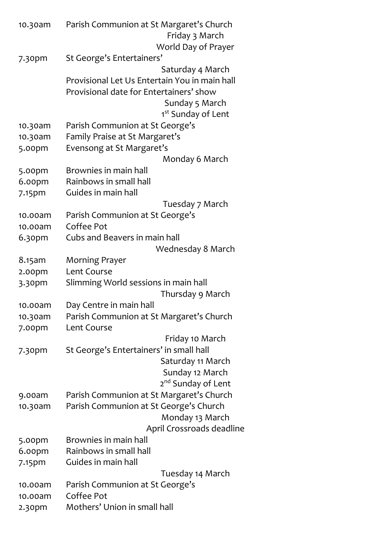| 10.30am           | Parish Communion at St Margaret's Church<br>Friday 3 March                               |
|-------------------|------------------------------------------------------------------------------------------|
|                   | World Day of Prayer<br>St George's Entertainers'                                         |
| 7.30pm            | Saturday 4 March                                                                         |
|                   | Provisional Let Us Entertain You in main hall<br>Provisional date for Entertainers' show |
|                   | Sunday 5 March<br>1 <sup>st</sup> Sunday of Lent                                         |
| 10.30am           | Parish Communion at St George's                                                          |
| 10.30am           | Family Praise at St Margaret's                                                           |
| 5.00pm            | Evensong at St Margaret's                                                                |
|                   | Monday 6 March                                                                           |
| 5.00pm            | Brownies in main hall                                                                    |
| 6.00pm            | Rainbows in small hall                                                                   |
| 7.15pm            | Guides in main hall                                                                      |
|                   | Tuesday 7 March                                                                          |
| 10.00am           | Parish Communion at St George's                                                          |
| 10.00am           | Coffee Pot                                                                               |
| 6.30pm            | Cubs and Beavers in main hall                                                            |
|                   | Wednesday 8 March                                                                        |
| 8.15am            | <b>Morning Prayer</b>                                                                    |
| 2.00pm            | Lent Course                                                                              |
| 3.30pm            | Slimming World sessions in main hall                                                     |
|                   | Thursday 9 March                                                                         |
| 10.00am           | Day Centre in main hall                                                                  |
| 10.30am<br>7.00pm | Parish Communion at St Margaret's Church<br>Lent Course                                  |
|                   | Friday 10 March                                                                          |
| 7.30pm            | St George's Entertainers' in small hall                                                  |
|                   | Saturday 11 March                                                                        |
|                   | Sunday 12 March                                                                          |
|                   | 2 <sup>nd</sup> Sunday of Lent                                                           |
| 9.00am            | Parish Communion at St Margaret's Church                                                 |
| 10.30am           | Parish Communion at St George's Church                                                   |
|                   | Monday 13 March                                                                          |
|                   | April Crossroads deadline                                                                |
| 5.00pm            | Brownies in main hall                                                                    |
| 6.00pm            | Rainbows in small hall                                                                   |
| 7.15pm            | Guides in main hall                                                                      |
|                   | Tuesday 14 March                                                                         |
| 10.00am           | Parish Communion at St George's                                                          |
| 10.00am           | Coffee Pot                                                                               |
| $2.3$ opm         | Mothers' Union in small hall                                                             |
|                   |                                                                                          |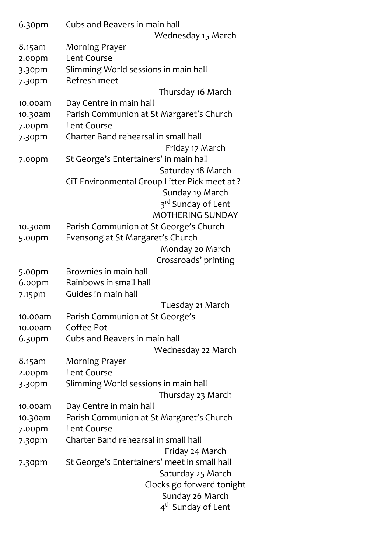| 6.30pm           | Cubs and Beavers in main hall                 |
|------------------|-----------------------------------------------|
|                  | Wednesday 15 March                            |
| 8.15am           | Morning Prayer                                |
| 2.00pm           | Lent Course                                   |
| 3.30pm           | Slimming World sessions in main hall          |
| 7.30pm           | Refresh meet                                  |
|                  | Thursday 16 March                             |
| 10.00am          | Day Centre in main hall                       |
| 10.30am          | Parish Communion at St Margaret's Church      |
| 7.00pm           | Lent Course                                   |
| 7.30pm           | Charter Band rehearsal in small hall          |
|                  | Friday 17 March                               |
| 7.00pm           | St George's Entertainers' in main hall        |
|                  | Saturday 18 March                             |
|                  | CiT Environmental Group Litter Pick meet at ? |
|                  | Sunday 19 March                               |
|                  | 3 <sup>rd</sup> Sunday of Lent                |
|                  | <b>MOTHERING SUNDAY</b>                       |
| 10.30am          | Parish Communion at St George's Church        |
| 5.00pm           | Evensong at St Margaret's Church              |
|                  | Monday 20 March                               |
|                  | Crossroads' printing<br>Brownies in main hall |
| 5.00pm<br>6.00pm | Rainbows in small hall                        |
| 7.15pm           | Guides in main hall                           |
|                  | Tuesday 21 March                              |
| 10.00am          | Parish Communion at St George's               |
| 10.00am          | Coffee Pot                                    |
| 6.30pm           | Cubs and Beavers in main hall                 |
|                  | Wednesday 22 March                            |
| 8.15am           | <b>Morning Prayer</b>                         |
| 2.00pm           | Lent Course                                   |
| 3.30pm           | Slimming World sessions in main hall          |
|                  | Thursday 23 March                             |
| 10.00am          | Day Centre in main hall                       |
| 10.30am          | Parish Communion at St Margaret's Church      |
| 7.00pm           | Lent Course                                   |
| 7.30pm           | Charter Band rehearsal in small hall          |
|                  | Friday 24 March                               |
| $7.3$ opm        | St George's Entertainers' meet in small hall  |
|                  | Saturday 25 March                             |
|                  | Clocks go forward tonight                     |
|                  | Sunday 26 March                               |
|                  | 4 <sup>th</sup> Sunday of Lent                |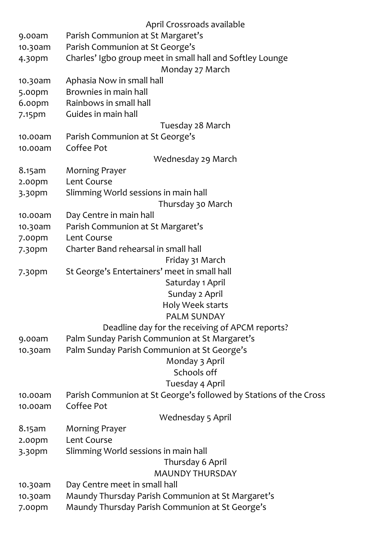|           | April Crossroads available                                        |
|-----------|-------------------------------------------------------------------|
| 9.00am    | Parish Communion at St Margaret's                                 |
| 10.30am   | Parish Communion at St George's                                   |
| 4.30pm    | Charles' Igbo group meet in small hall and Softley Lounge         |
|           | Monday 27 March                                                   |
| 10.30am   | Aphasia Now in small hall                                         |
| 5.00pm    | Brownies in main hall                                             |
| 6.00pm    | Rainbows in small hall                                            |
| 7.15pm    | Guides in main hall                                               |
|           | Tuesday 28 March                                                  |
| 10.00am   | Parish Communion at St George's                                   |
| 10.00am   | Coffee Pot                                                        |
|           | Wednesday 29 March                                                |
| 8.15am    | <b>Morning Prayer</b>                                             |
| 2.00pm    | Lent Course                                                       |
| 3.30pm    | Slimming World sessions in main hall                              |
|           | Thursday 30 March                                                 |
| 10.00am   | Day Centre in main hall                                           |
| 10.30am   | Parish Communion at St Margaret's                                 |
| 7.00pm    | Lent Course                                                       |
| 7.30pm    | Charter Band rehearsal in small hall                              |
|           | Friday 31 March                                                   |
| $7.3$ opm | St George's Entertainers' meet in small hall                      |
|           | Saturday 1 April                                                  |
|           | Sunday 2 April                                                    |
|           | Holy Week starts                                                  |
|           | <b>PALM SUNDAY</b>                                                |
|           | Deadline day for the receiving of APCM reports?                   |
| 9.00am    | Palm Sunday Parish Communion at St Margaret's                     |
| 10.30am   | Palm Sunday Parish Communion at St George's                       |
|           | Monday 3 April                                                    |
|           | Schools off                                                       |
|           | Tuesday 4 April                                                   |
| 10.00am   | Parish Communion at St George's followed by Stations of the Cross |
| 10.00am   | Coffee Pot                                                        |
|           | <b>Wednesday 5 April</b>                                          |
| 8.15am    | <b>Morning Prayer</b>                                             |
| 2.00pm    | Lent Course                                                       |
| 3.30pm    | Slimming World sessions in main hall                              |
|           | Thursday 6 April                                                  |
|           | <b>MAUNDY THURSDAY</b>                                            |
| 10.30am   | Day Centre meet in small hall                                     |
| 10.30am   | Maundy Thursday Parish Communion at St Margaret's                 |
| 7.00pm    | Maundy Thursday Parish Communion at St George's                   |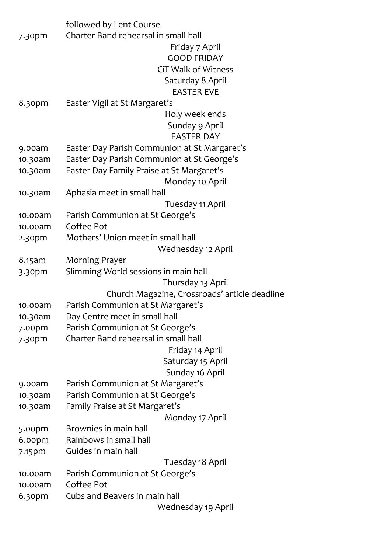|                    | followed by Lent Course                       |
|--------------------|-----------------------------------------------|
| 7.30pm             | Charter Band rehearsal in small hall          |
|                    | Friday 7 April                                |
|                    | <b>GOOD FRIDAY</b>                            |
|                    | <b>CiT Walk of Witness</b>                    |
|                    | Saturday 8 April                              |
|                    | <b>EASTER EVE</b>                             |
| 8.30pm             | Easter Vigil at St Margaret's                 |
|                    | Holy week ends                                |
|                    | Sunday 9 April                                |
|                    | <b>EASTER DAY</b>                             |
| 9.00am             | Easter Day Parish Communion at St Margaret's  |
| 10.30am            | Easter Day Parish Communion at St George's    |
| 10.30am            | Easter Day Family Praise at St Margaret's     |
|                    | Monday 10 April                               |
| 10.30am            | Aphasia meet in small hall                    |
|                    | Tuesday 11 April                              |
| 10.00am            |                                               |
| 10.00am            | Parish Communion at St George's<br>Coffee Pot |
|                    | Mothers' Union meet in small hall             |
| 2.30 <sub>pm</sub> |                                               |
|                    | Wednesday 12 April                            |
| 8.15am             | <b>Morning Prayer</b>                         |
| 3.30pm             | Slimming World sessions in main hall          |
|                    | Thursday 13 April                             |
|                    | Church Magazine, Crossroads' article deadline |
| 10.00am            | Parish Communion at St Margaret's             |
| 10.30am            | Day Centre meet in small hall                 |
| 7.00pm             | Parish Communion at St George's               |
| 7.30pm             | Charter Band rehearsal in small hall          |
|                    | Friday 14 April                               |
|                    | Saturday 15 April                             |
|                    | Sunday 16 April                               |
| 9.00am             | Parish Communion at St Margaret's             |
| 10.30am            | Parish Communion at St George's               |
| 10.30am            | Family Praise at St Margaret's                |
|                    | Monday 17 April                               |
| 5.00pm             | Brownies in main hall                         |
| 6.00pm             | Rainbows in small hall                        |
| 7.15pm             | Guides in main hall                           |
|                    | Tuesday 18 April                              |
| 10.00am            | Parish Communion at St George's               |
| 10.00am            | Coffee Pot                                    |
| 6.30pm             | Cubs and Beavers in main hall                 |
|                    | Wednesday 19 April                            |
|                    |                                               |